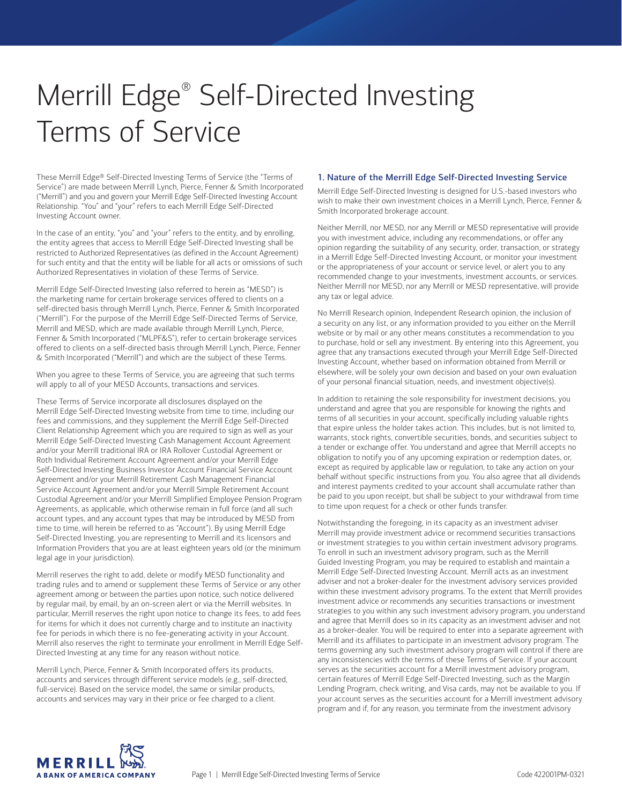# Merrill Edge® Self-Directed Investing Terms of Service

These Merrill Edge® Self-Directed Investing Terms of Service (the "Terms of Service") are made between Merrill Lynch, Pierce, Fenner & Smith Incorporated ("Merrill") and you and govern your Merrill Edge Self-Directed Investing Account Relationship. "You" and "your" refers to each Merrill Edge Self-Directed Investing Account owner.

In the case of an entity, "you" and "your" refers to the entity, and by enrolling, the entity agrees that access to Merrill Edge Self-Directed Investing shall be restricted to Authorized Representatives (as defined in the Account Agreement) for such entity and that the entity will be liable for all acts or omissions of such Authorized Representatives in violation of these Terms of Service.

Merrill Edge Self-Directed Investing (also referred to herein as "MESD") is the marketing name for certain brokerage services offered to clients on a self-directed basis through Merrill Lynch, Pierce, Fenner & Smith Incorporated ("Merrill"). For the purpose of the Merrill Edge Self-Directed Terms of Service, Merrill and MESD, which are made available through Merrill Lynch, Pierce, Fenner & Smith Incorporated ("MLPF&S"), refer to certain brokerage services offered to clients on a self-directed basis through Merrill Lynch, Pierce, Fenner & Smith Incorporated ("Merrill") and which are the subject of these Terms.

When you agree to these Terms of Service, you are agreeing that such terms will apply to all of your MESD Accounts, transactions and services.

These Terms of Service incorporate all disclosures displayed on the Merrill Edge Self-Directed Investing website from time to time, including our fees and commissions, and they supplement the Merrill Edge Self-Directed Client Relationship Agreement which you are required to sign as well as your Merrill Edge Self-Directed Investing Cash Management Account Agreement and/or your Merrill traditional IRA or IRA Rollover Custodial Agreement or Roth Individual Retirement Account Agreement and/or your Merrill Edge Self-Directed Investing Business Investor Account Financial Service Account Agreement and/or your Merrill Retirement Cash Management Financial Service Account Agreement and/or your Merrill Simple Retirement Account Custodial Agreement and/or your Merrill Simplified Employee Pension Program Agreements, as applicable, which otherwise remain in full force (and all such account types, and any account types that may be introduced by MESD from time to time, will herein be referred to as "Account"). By using Merrill Edge Self-Directed Investing, you are representing to Merrill and its licensors and Information Providers that you are at least eighteen years old (or the minimum legal age in your jurisdiction).

Merrill reserves the right to add, delete or modify MESD functionality and trading rules and to amend or supplement these Terms of Service or any other agreement among or between the parties upon notice, such notice delivered by regular mail, by email, by an on-screen alert or via the Merrill websites. In particular, Merrill reserves the right upon notice to change its fees, to add fees for items for which it does not currently charge and to institute an inactivity fee for periods in which there is no fee-generating activity in your Account. Merrill also reserves the right to terminate your enrollment in Merrill Edge Self-Directed Investing at any time for any reason without notice.

Merrill Lynch, Pierce, Fenner & Smith Incorporated offers its products, accounts and services through different service models (e.g., self-directed, full-service). Based on the service model, the same or similar products, accounts and services may vary in their price or fee charged to a client.

## 1. Nature of the Merrill Edge Self-Directed Investing Service

Merrill Edge Self-Directed Investing is designed for U.S.-based investors who wish to make their own investment choices in a Merrill Lynch, Pierce, Fenner & Smith Incorporated brokerage account.

Neither Merrill, nor MESD, nor any Merrill or MESD representative will provide you with investment advice, including any recommendations, or offer any opinion regarding the suitability of any security, order, transaction, or strategy in a Merrill Edge Self-Directed Investing Account, or monitor your investment or the appropriateness of your account or service level, or alert you to any recommended change to your investments, investment accounts, or services. Neither Merrill nor MESD, nor any Merrill or MESD representative, will provide any tax or legal advice.

No Merrill Research opinion, Independent Research opinion, the inclusion of a security on any list, or any information provided to you either on the Merrill website or by mail or any other means constitutes a recommendation to you to purchase, hold or sell any investment. By entering into this Agreement, you agree that any transactions executed through your Merrill Edge Self-Directed Investing Account, whether based on information obtained from Merrill or elsewhere, will be solely your own decision and based on your own evaluation of your personal financial situation, needs, and investment objective(s).

In addition to retaining the sole responsibility for investment decisions, you understand and agree that you are responsible for knowing the rights and terms of all securities in your account, specifically including valuable rights that expire unless the holder takes action. This includes, but is not limited to, warrants, stock rights, convertible securities, bonds, and securities subject to a tender or exchange offer. You understand and agree that Merrill accepts no obligation to notify you of any upcoming expiration or redemption dates, or, except as required by applicable law or regulation, to take any action on your behalf without specific instructions from you. You also agree that all dividends and interest payments credited to your account shall accumulate rather than be paid to you upon receipt, but shall be subject to your withdrawal from time to time upon request for a check or other funds transfer.

Notwithstanding the foregoing, in its capacity as an investment adviser Merrill may provide investment advice or recommend securities transactions or investment strategies to you within certain investment advisory programs. To enroll in such an investment advisory program, such as the Merrill Guided Investing Program, you may be required to establish and maintain a Merrill Edge Self-Directed Investing Account. Merrill acts as an investment adviser and not a broker-dealer for the investment advisory services provided within these investment advisory programs. To the extent that Merrill provides investment advice or recommends any securities transactions or investment strategies to you within any such investment advisory program, you understand and agree that Merrill does so in its capacity as an investment adviser and not as a broker-dealer. You will be required to enter into a separate agreement with Merrill and its affiliates to participate in an investment advisory program. The terms governing any such investment advisory program will control if there are any inconsistencies with the terms of these Terms of Service. If your account serves as the securities account for a Merrill investment advisory program, certain features of Merrill Edge Self-Directed Investing, such as the Margin Lending Program, check writing, and Visa cards, may not be available to you. If your account serves as the securities account for a Merrill investment advisory program and if, for any reason, you terminate from the investment advisory

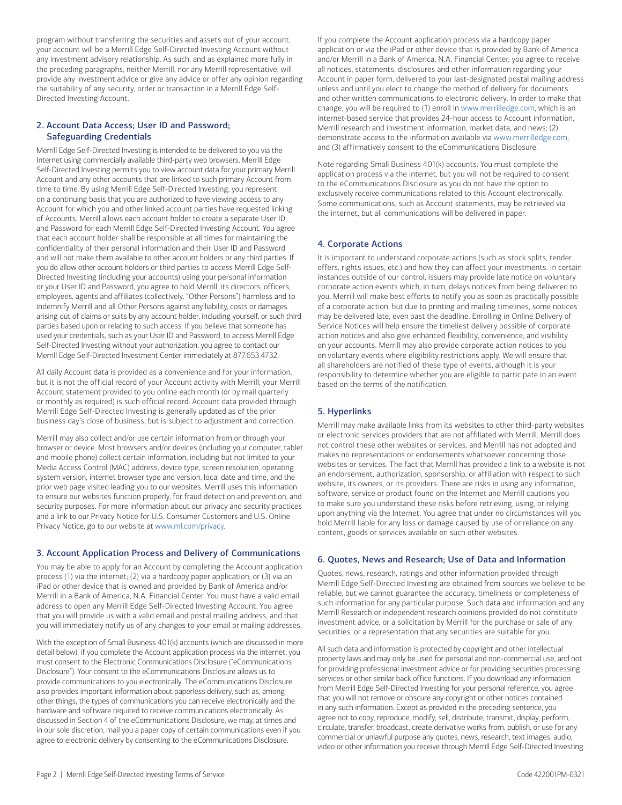program without transferring the securities and assets out of your account, your account will be a Merrill Edge Self-Directed Investing Account without any investment advisory relationship. As such, and as explained more fully in the preceding paragraphs, neither Merrill, nor any Merrill representative, will provide any investment advice or give any advice or offer any opinion regarding the suitability of any security, order or transaction in a Merrill Edge Self-Directed Investing Account.

## 2. Account Data Access; User ID and Password; Safeguarding Credentials

 and will not make them available to other account holders or any third parties. If you do allow other account holders or third parties to access Merrill Edge Self- indemnify Merrill and all Other Persons against any liability, costs or damages Merrill Edge Self-Directed Investing is intended to be delivered to you via the Internet using commercially available third-party web browsers. Merrill Edge Self-Directed Investing permits you to view account data for your primary Merrill Account and any other accounts that are linked to such primary Account from time to time. By using Merrill Edge Self-Directed Investing, you represent on a continuing basis that you are authorized to have viewing access to any Account for which you and other linked account parties have requested linking of Accounts. Merrill allows each account holder to create a separate User ID and Password for each Merrill Edge Self-Directed Investing Account. You agree that each account holder shall be responsible at all times for maintaining the confidentiality of their personal information and their User ID and Password Directed Investing (including your accounts) using your personal information or your User ID and Password, you agree to hold Merrill, its directors, officers, employees, agents and affiliates (collectively, "Other Persons") harmless and to arising out of claims or suits by any account holder, including yourself, or such third parties based upon or relating to such access. If you believe that someone has used your credentials, such as your User ID and Password, to access Merrill Edge Self-Directed Investing without your authorization, you agree to contact our Merrill Edge Self-Directed Investment Center immediately at 877.653.4732.

All daily Account data is provided as a convenience and for your information, but it is not the official record of your Account activity with Merrill; your Merrill Account statement provided to you online each month (or by mail quarterly or monthly as required) is such official record. Account data provided through Merrill Edge Self-Directed Investing is generally updated as of the prior business day's close of business, but is subject to adjustment and correction.

Merrill may also collect and/or use certain information from or through your browser or device. Most browsers and/or devices (including your computer, tablet and mobile phone) collect certain information, including but not limited to your Media Access Control (MAC) address, device type, screen resolution, operating system version, internet browser type and version, local date and time, and the prior web page visited leading you to our websites. Merrill uses this information to ensure our websites function properly, for fraud detection and prevention, and security purposes. For more information about our privacy and security practices and a link to our Privacy Notice for U.S. Consumer Customers and U.S. Online Privacy Notice, go to our website at [www.ml.com/privacy.](http://www.ml.com/privacy)

# 3. Account Application Process and Delivery of Communications

You may be able to apply for an Account by completing the Account application process (1) via the internet; (2) via a hardcopy paper application; or (3) via an iPad or other device that is owned and provided by Bank of America and/or Merrill in a Bank of America, N.A. Financial Center. You must have a valid email address to open any Merrill Edge Self-Directed Investing Account. You agree that you will provide us with a valid email and postal mailing address, and that you will immediately notify us of any changes to your email or mailing addresses.

With the exception of Small Business 401(k) accounts (which are discussed in more detail below), if you complete the Account application process via the internet, you must consent to the Electronic Communications Disclosure ("eCommunications Disclosure"). Your consent to the eCommunications Disclosure allows us to provide communications to you electronically. The eCommunications Disclosure also provides important information about paperless delivery, such as, among other things, the types of communications you can receive electronically and the hardware and software required to receive communications electronically. As discussed in Section 4 of the eCommunications Disclosure, we may, at times and in our sole discretion, mail you a paper copy of certain communications even if you agree to electronic delivery by consenting to the eCommunications Disclosure.

If you complete the Account application process via a hardcopy paper application or via the iPad or other device that is provided by Bank of America and/or Merrill in a Bank of America, N.A. Financial Center, you agree to receive all notices, statements, disclosures and other information regarding your Account in paper form, delivered to your last-designated postal mailing address unless and until you elect to change the method of delivery for documents and other written communications to electronic delivery. In order to make that change, you will be required to (1) enroll in [www.merrilledge.com,](http://www.merrilledge.com) which is an internet-based service that provides 24-hour access to Account information, Merrill research and investment information, market data, and news; (2) demonstrate access to the information available via [www.merrilledge.com;](http://www.merrilledge.com) and (3) affirmatively consent to the eCommunications Disclosure.

Note regarding Small Business 401(k) accounts: You must complete the application process via the internet, but you will not be required to consent to the eCommunications Disclosure as you do not have the option to exclusively receive communications related to this Account electronically. Some communications, such as Account statements, may be retrieved via the internet, but all communications will be delivered in paper.

# 4. Corporate Actions

It is important to understand corporate actions (such as stock splits, tender offers, rights issues, etc.) and how they can affect your investments. In certain instances outside of our control, issuers may provide late notice on voluntary corporate action events which, in turn, delays notices from being delivered to you. Merrill will make best efforts to notify you as soon as practically possible of a corporate action, but due to printing and mailing timelines, some notices may be delivered late, even past the deadline. Enrolling in Online Delivery of Service Notices will help ensure the timeliest delivery possible of corporate action notices and also give enhanced flexibility, convenience, and visibility on your accounts. Merrill may also provide corporate action notices to you on voluntary events where eligibility restrictions apply. We will ensure that all shareholders are notified of these type of events, although it is your responsibility to determine whether you are eligible to participate in an event based on the terms of the notification.

# 5. Hyperlinks

Merrill may make available links from its websites to other third-party websites or electronic services providers that are not affiliated with Merrill. Merrill does not control these other websites or services, and Merrill has not adopted and makes no representations or endorsements whatsoever concerning those websites or services. The fact that Merrill has provided a link to a website is not an endorsement, authorization, sponsorship, or affiliation with respect to such website, its owners, or its providers. There are risks in using any information, software, service or product found on the Internet and Merrill cautions you to make sure you understand these risks before retrieving, using, or relying upon anything via the Internet. You agree that under no circumstances will you hold Merrill liable for any loss or damage caused by use of or reliance on any content, goods or services available on such other websites.

# 6. Quotes, News and Research; Use of Data and Information

Quotes, news, research, ratings and other information provided through Merrill Edge Self-Directed Investing are obtained from sources we believe to be reliable, but we cannot guarantee the accuracy, timeliness or completeness of such information for any particular purpose. Such data and information and any Merrill Research or independent research opinions provided do not constitute investment advice, or a solicitation by Merrill for the purchase or sale of any securities, or a representation that any securities are suitable for you.

All such data and information is protected by copyright and other intellectual property laws and may only be used for personal and non-commercial use, and not for providing professional investment advice or for providing securities processing services or other similar back office functions. If you download any information from Merrill Edge Self-Directed Investing for your personal reference, you agree that you will not remove or obscure any copyright or other notices contained in any such information. Except as provided in the preceding sentence, you agree not to copy, reproduce, modify, sell, distribute, transmit, display, perform, circulate, transfer, broadcast, create derivative works from, publish, or use for any commercial or unlawful purpose any quotes, news, research, text images, audio, video or other information you receive through Merrill Edge Self-Directed Investing.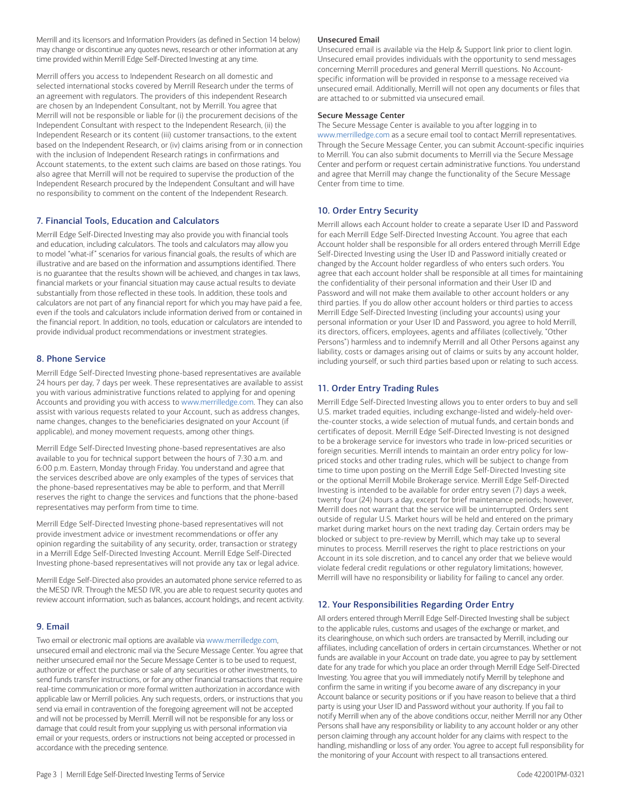Merrill and its licensors and Information Providers (as defined in Section 14 below) may change or discontinue any quotes news, research or other information at any time provided within Merrill Edge Self-Directed Investing at any time.

Merrill offers you access to Independent Research on all domestic and selected international stocks covered by Merrill Research under the terms of an agreement with regulators. The providers of this independent Research are chosen by an Independent Consultant, not by Merrill. You agree that Merrill will not be responsible or liable for (i) the procurement decisions of the Independent Consultant with respect to the Independent Research, (ii) the Independent Research or its content (iii) customer transactions, to the extent based on the Independent Research, or (iv) claims arising from or in connection with the inclusion of Independent Research ratings in confirmations and Account statements, to the extent such claims are based on those ratings. You also agree that Merrill will not be required to supervise the production of the Independent Research procured by the Independent Consultant and will have no responsibility to comment on the content of the Independent Research.

# 7. Financial Tools, Education and Calculators

Merrill Edge Self-Directed Investing may also provide you with financial tools and education, including calculators. The tools and calculators may allow you to model "what-if" scenarios for various financial goals, the results of which are illustrative and are based on the information and assumptions identified. There is no guarantee that the results shown will be achieved, and changes in tax laws, financial markets or your financial situation may cause actual results to deviate substantially from those reflected in these tools. In addition, these tools and calculators are not part of any financial report for which you may have paid a fee, even if the tools and calculators include information derived from or contained in the financial report. In addition, no tools, education or calculators are intended to provide individual product recommendations or investment strategies.

# 8. Phone Service

Merrill Edge Self-Directed Investing phone-based representatives are available 24 hours per day, 7 days per week. These representatives are available to assist you with various administrative functions related to applying for and opening Accounts and providing you with access to [www.merrilledge.com.](http://www.merrilledge.com) They can also assist with various requests related to your Account, such as address changes, name changes, changes to the beneficiaries designated on your Account (if applicable), and money movement requests, among other things.

Merrill Edge Self-Directed Investing phone-based representatives are also available to you for technical support between the hours of 7:30 a.m. and 6:00 p.m. Eastern, Monday through Friday. You understand and agree that the services described above are only examples of the types of services that the phone-based representatives may be able to perform, and that Merrill reserves the right to change the services and functions that the phone-based representatives may perform from time to time.

Merrill Edge Self-Directed Investing phone-based representatives will not provide investment advice or investment recommendations or offer any opinion regarding the suitability of any security, order, transaction or strategy in a Merrill Edge Self-Directed Investing Account. Merrill Edge Self-Directed Investing phone-based representatives will not provide any tax or legal advice.

Merrill Edge Self-Directed also provides an automated phone service referred to as the MESD IVR. Through the MESD IVR, you are able to request security quotes and review account information, such as balances, account holdings, and recent activity.

### 9. Email

Two email or electronic mail options are available via [www.merrilledge.com,](http://www.merrilledge.com) unsecured email and electronic mail via the Secure Message Center. You agree that neither unsecured email nor the Secure Message Center is to be used to request, authorize or effect the purchase or sale of any securities or other investments, to send funds transfer instructions, or for any other financial transactions that require real-time communication or more formal written authorization in accordance with applicable law or Merrill policies. Any such requests, orders, or instructions that you send via email in contravention of the foregoing agreement will not be accepted and will not be processed by Merrill. Merrill will not be responsible for any loss or damage that could result from your supplying us with personal information via email or your requests, orders or instructions not being accepted or processed in accordance with the preceding sentence.

#### Unsecured Email

Unsecured email is available via the Help & Support link prior to client login. Unsecured email provides individuals with the opportunity to send messages concerning Merrill procedures and general Merrill questions. No Accountspecific information will be provided in response to a message received via unsecured email. Additionally, Merrill will not open any documents or files that are attached to or submitted via unsecured email.

#### Secure Message Center

The Secure Message Center is available to you after logging in to [www.merrilledge.com](http://www.merrilledge.com) as a secure email tool to contact Merrill representatives. Through the Secure Message Center, you can submit Account-specific inquiries to Merrill. You can also submit documents to Merrill via the Secure Message Center and perform or request certain administrative functions. You understand and agree that Merrill may change the functionality of the Secure Message Center from time to time.

## 10. Order Entry Security

Merrill allows each Account holder to create a separate User ID and Password for each Merrill Edge Self-Directed Investing Account. You agree that each Account holder shall be responsible for all orders entered through Merrill Edge Self-Directed Investing using the User ID and Password initially created or changed by the Account holder regardless of who enters such orders. You agree that each account holder shall be responsible at all times for maintaining the confidentiality of their personal information and their User ID and Password and will not make them available to other account holders or any third parties. If you do allow other account holders or third parties to access Merrill Edge Self-Directed Investing (including your accounts) using your personal information or your User ID and Password, you agree to hold Merrill, its directors, officers, employees, agents and affiliates (collectively, "Other Persons") harmless and to indemnify Merrill and all Other Persons against any liability, costs or damages arising out of claims or suits by any account holder, including yourself, or such third parties based upon or relating to such access.

# 11. Order Entry Trading Rules

Merrill Edge Self-Directed Investing allows you to enter orders to buy and sell U.S. market traded equities, including exchange-listed and widely-held overthe-counter stocks, a wide selection of mutual funds, and certain bonds and certificates of deposit. Merrill Edge Self-Directed Investing is not designed to be a brokerage service for investors who trade in low-priced securities or foreign securities. Merrill intends to maintain an order entry policy for lowpriced stocks and other trading rules, which will be subject to change from time to time upon posting on the Merrill Edge Self-Directed Investing site or the optional Merrill Mobile Brokerage service. Merrill Edge Self-Directed Investing is intended to be available for order entry seven (7) days a week, twenty four (24) hours a day, except for brief maintenance periods; however, Merrill does not warrant that the service will be uninterrupted. Orders sent outside of regular U.S. Market hours will be held and entered on the primary market during market hours on the next trading day. Certain orders may be blocked or subject to pre-review by Merrill, which may take up to several minutes to process. Merrill reserves the right to place restrictions on your Account in its sole discretion, and to cancel any order that we believe would violate federal credit regulations or other regulatory limitations; however, Merrill will have no responsibility or liability for failing to cancel any order.

# 12. Your Responsibilities Regarding Order Entry

All orders entered through Merrill Edge Self-Directed Investing shall be subject to the applicable rules, customs and usages of the exchange or market, and its clearinghouse, on which such orders are transacted by Merrill, including our affiliates, including cancellation of orders in certain circumstances. Whether or not funds are available in your Account on trade date, you agree to pay by settlement date for any trade for which you place an order through Merrill Edge Self-Directed Investing. You agree that you will immediately notify Merrill by telephone and confirm the same in writing if you become aware of any discrepancy in your Account balance or security positions or if you have reason to believe that a third party is using your User ID and Password without your authority. If you fail to notify Merrill when any of the above conditions occur, neither Merrill nor any Other Persons shall have any responsibility or liability to any account holder or any other person claiming through any account holder for any claims with respect to the handling, mishandling or loss of any order. You agree to accept full responsibility for the monitoring of your Account with respect to all transactions entered.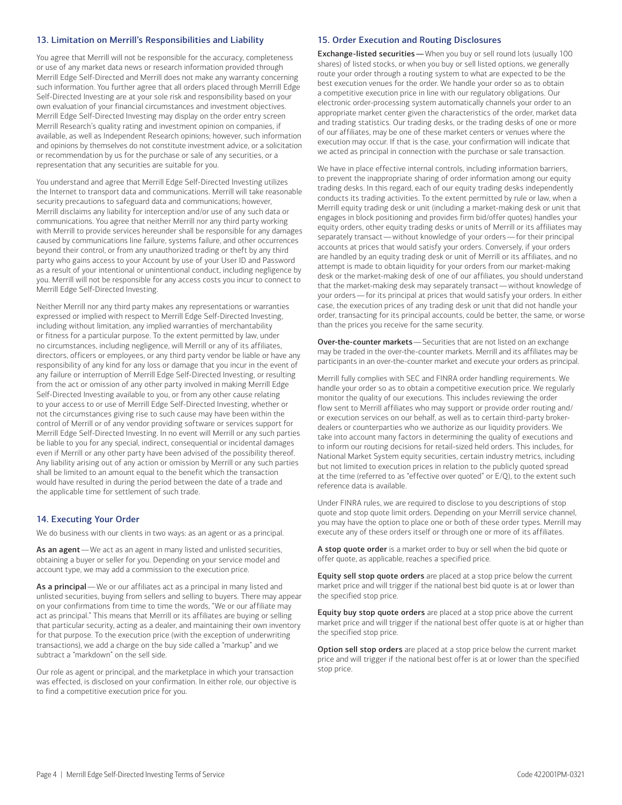## 13. Limitation on Merrill's Responsibilities and Liability

You agree that Merrill will not be responsible for the accuracy, completeness or use of any market data news or research information provided through Merrill Edge Self-Directed and Merrill does not make any warranty concerning such information. You further agree that all orders placed through Merrill Edge Self-Directed Investing are at your sole risk and responsibility based on your own evaluation of your financial circumstances and investment objectives. Merrill Edge Self-Directed Investing may display on the order entry screen Merrill Research's quality rating and investment opinion on companies, if available, as well as Independent Research opinions; however, such information and opinions by themselves do not constitute investment advice, or a solicitation or recommendation by us for the purchase or sale of any securities, or a representation that any securities are suitable for you.

You understand and agree that Merrill Edge Self-Directed Investing utilizes the Internet to transport data and communications. Merrill will take reasonable security precautions to safeguard data and communications; however, Merrill disclaims any liability for interception and/or use of any such data or communications. You agree that neither Merrill nor any third party working with Merrill to provide services hereunder shall be responsible for any damages caused by communications line failure, systems failure, and other occurrences beyond their control, or from any unauthorized trading or theft by any third party who gains access to your Account by use of your User ID and Password as a result of your intentional or unintentional conduct, including negligence by you. Merrill will not be responsible for any access costs you incur to connect to Merrill Edge Self-Directed Investing.

Neither Merrill nor any third party makes any representations or warranties expressed or implied with respect to Merrill Edge Self-Directed Investing, including without limitation, any implied warranties of merchantability or fitness for a particular purpose. To the extent permitted by law, under no circumstances, including negligence, will Merrill or any of its affiliates, directors, officers or employees, or any third party vendor be liable or have any responsibility of any kind for any loss or damage that you incur in the event of any failure or interruption of Merrill Edge Self-Directed Investing, or resulting from the act or omission of any other party involved in making Merrill Edge Self-Directed Investing available to you, or from any other cause relating to your access to or use of Merrill Edge Self-Directed Investing, whether or not the circumstances giving rise to such cause may have been within the control of Merrill or of any vendor providing software or services support for Merrill Edge Self-Directed Investing. In no event will Merrill or any such parties be liable to you for any special, indirect, consequential or incidental damages even if Merrill or any other party have been advised of the possibility thereof. Any liability arising out of any action or omission by Merrill or any such parties shall be limited to an amount equal to the benefit which the transaction would have resulted in during the period between the date of a trade and the applicable time for settlement of such trade.

## 14. Executing Your Order

We do business with our clients in two ways: as an agent or as a principal.

As an agent—We act as an agent in many listed and unlisted securities, obtaining a buyer or seller for you. Depending on your service model and account type, we may add a commission to the execution price.

As a principal - We or our affiliates act as a principal in many listed and unlisted securities, buying from sellers and selling to buyers. There may appear on your confirmations from time to time the words, "We or our affiliate may act as principal." This means that Merrill or its affiliates are buying or selling that particular security, acting as a dealer, and maintaining their own inventory for that purpose. To the execution price (with the exception of underwriting transactions), we add a charge on the buy side called a "markup" and we subtract a "markdown" on the sell side.

Our role as agent or principal, and the marketplace in which your transaction was effected, is disclosed on your confirmation. In either role, our objective is to find a competitive execution price for you.

#### 15. Order Execution and Routing Disclosures

**Exchange-listed securities** - When you buy or sell round lots (usually 100 shares) of listed stocks, or when you buy or sell listed options, we generally route your order through a routing system to what are expected to be the best execution venues for the order. We handle your order so as to obtain a competitive execution price in line with our regulatory obligations. Our electronic order-processing system automatically channels your order to an appropriate market center given the characteristics of the order, market data and trading statistics. Our trading desks, or the trading desks of one or more of our affiliates, may be one of these market centers or venues where the execution may occur. If that is the case, your confirmation will indicate that we acted as principal in connection with the purchase or sale transaction.

 separately transact — without knowledge of your orders — for their principal that the market-making desk may separately transact—without knowledge of your orders—for its principal at prices that would satisfy your orders. In either We have in place effective internal controls, including information barriers, to prevent the inappropriate sharing of order information among our equity trading desks. In this regard, each of our equity trading desks independently conducts its trading activities. To the extent permitted by rule or law, when a Merrill equity trading desk or unit (including a market-making desk or unit that engages in block positioning and provides firm bid/offer quotes) handles your equity orders, other equity trading desks or units of Merrill or its affiliates may accounts at prices that would satisfy your orders. Conversely, if your orders are handled by an equity trading desk or unit of Merrill or its affiliates, and no attempt is made to obtain liquidity for your orders from our market-making desk or the market-making desk of one of our affiliates, you should understand case, the execution prices of any trading desk or unit that did not handle your order, transacting for its principal accounts, could be better, the same, or worse than the prices you receive for the same security.

Over-the-counter markets - Securities that are not listed on an exchange may be traded in the over-the-counter markets. Merrill and its affiliates may be participants in an over-the-counter market and execute your orders as principal.

Merrill fully complies with SEC and FINRA order handling requirements. We handle your order so as to obtain a competitive execution price. We regularly monitor the quality of our executions. This includes reviewing the order flow sent to Merrill affiliates who may support or provide order routing and/ or execution services on our behalf, as well as to certain third-party brokerdealers or counterparties who we authorize as our liquidity providers. We take into account many factors in determining the quality of executions and to inform our routing decisions for retail-sized held orders. This includes, for National Market System equity securities, certain industry metrics, including but not limited to execution prices in relation to the publicly quoted spread at the time (referred to as "effective over quoted" or E/Q), to the extent such reference data is available.

Under FINRA rules, we are required to disclose to you descriptions of stop quote and stop quote limit orders. Depending on your Merrill service channel, you may have the option to place one or both of these order types. Merrill may execute any of these orders itself or through one or more of its affiliates.

A stop quote order is a market order to buy or sell when the bid quote or offer quote, as applicable, reaches a specified price.

Equity sell stop quote orders are placed at a stop price below the current market price and will trigger if the national best bid quote is at or lower than the specified stop price.

Equity buy stop quote orders are placed at a stop price above the current market price and will trigger if the national best offer quote is at or higher than the specified stop price.

Option sell stop orders are placed at a stop price below the current market price and will trigger if the national best offer is at or lower than the specified stop price.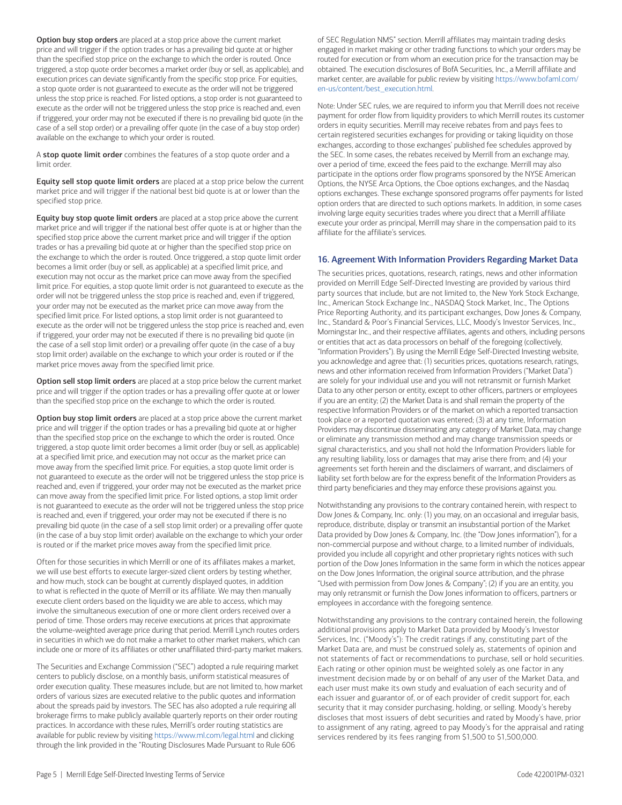Option buy stop orders are placed at a stop price above the current market price and will trigger if the option trades or has a prevailing bid quote at or higher than the specified stop price on the exchange to which the order is routed. Once triggered, a stop quote order becomes a market order (buy or sell, as applicable), and execution prices can deviate significantly from the specific stop price. For equities, a stop quote order is not guaranteed to execute as the order will not be triggered unless the stop price is reached. For listed options, a stop order is not guaranteed to execute as the order will not be triggered unless the stop price is reached and, even if triggered, your order may not be executed if there is no prevailing bid quote (in the case of a sell stop order) or a prevailing offer quote (in the case of a buy stop order) available on the exchange to which your order is routed.

A stop quote limit order combines the features of a stop quote order and a limit order.

Equity sell stop quote limit orders are placed at a stop price below the current market price and will trigger if the national best bid quote is at or lower than the specified stop price.

Equity buy stop quote limit orders are placed at a stop price above the current market price and will trigger if the national best offer quote is at or higher than the specified stop price above the current market price and will trigger if the option trades or has a prevailing bid quote at or higher than the specified stop price on the exchange to which the order is routed. Once triggered, a stop quote limit order becomes a limit order (buy or sell, as applicable) at a specified limit price, and execution may not occur as the market price can move away from the specified limit price. For equities, a stop quote limit order is not guaranteed to execute as the order will not be triggered unless the stop price is reached and, even if triggered, your order may not be executed as the market price can move away from the specified limit price. For listed options, a stop limit order is not guaranteed to execute as the order will not be triggered unless the stop price is reached and, even if triggered, your order may not be executed if there is no prevailing bid quote (in the case of a sell stop limit order) or a prevailing offer quote (in the case of a buy stop limit order) available on the exchange to which your order is routed or if the market price moves away from the specified limit price.

Option sell stop limit orders are placed at a stop price below the current market price and will trigger if the option trades or has a prevailing offer quote at or lower than the specified stop price on the exchange to which the order is routed.

Option buy stop limit orders are placed at a stop price above the current market price and will trigger if the option trades or has a prevailing bid quote at or higher than the specified stop price on the exchange to which the order is routed. Once triggered, a stop quote limit order becomes a limit order (buy or sell, as applicable) at a specified limit price, and execution may not occur as the market price can move away from the specified limit price. For equities, a stop quote limit order is not guaranteed to execute as the order will not be triggered unless the stop price is reached and, even if triggered, your order may not be executed as the market price can move away from the specified limit price. For listed options, a stop limit order is not guaranteed to execute as the order will not be triggered unless the stop price is reached and, even if triggered, your order may not be executed if there is no prevailing bid quote (in the case of a sell stop limit order) or a prevailing offer quote (in the case of a buy stop limit order) available on the exchange to which your order is routed or if the market price moves away from the specified limit price.

Often for those securities in which Merrill or one of its affiliates makes a market, we will use best efforts to execute larger-sized client orders by testing whether, and how much, stock can be bought at currently displayed quotes, in addition to what is reflected in the quote of Merrill or its affiliate. We may then manually execute client orders based on the liquidity we are able to access, which may involve the simultaneous execution of one or more client orders received over a period of time. Those orders may receive executions at prices that approximate the volume-weighted average price during that period. Merrill Lynch routes orders in securities in which we do not make a market to other market makers, which can include one or more of its affiliates or other unaffiliated third-party market makers.

The Securities and Exchange Commission ("SEC") adopted a rule requiring market centers to publicly disclose, on a monthly basis, uniform statistical measures of order execution quality. These measures include, but are not limited to, how market orders of various sizes are executed relative to the public quotes and information about the spreads paid by investors. The SEC has also adopted a rule requiring all brokerage firms to make publicly available quarterly reports on their order routing practices. In accordance with these rules, Merrill's order routing statistics are available for public review by visiting<https://www.ml.com/legal.html>and clicking through the link provided in the "Routing Disclosures Made Pursuant to Rule 606

of SEC Regulation NMS" section. Merrill affiliates may maintain trading desks engaged in market making or other trading functions to which your orders may be routed for execution or from whom an execution price for the transaction may be obtained. The execution disclosures of BofA Securities, Inc., a Merrill affiliate and market center, are available for public review by visiting [https://www.bofaml.com/](https://www.bofaml.com/en-us/content/best_execution.html)  [en-us/content/best\\_execution.html.](https://www.bofaml.com/en-us/content/best_execution.html)

Note: Under SEC rules, we are required to inform you that Merrill does not receive payment for order flow from liquidity providers to which Merrill routes its customer orders in equity securities. Merrill may receive rebates from and pays fees to certain registered securities exchanges for providing or taking liquidity on those exchanges, according to those exchanges' published fee schedules approved by the SEC. In some cases, the rebates received by Merrill from an exchange may, over a period of time, exceed the fees paid to the exchange. Merrill may also participate in the options order flow programs sponsored by the NYSE American Options, the NYSE Arca Options, the Cboe options exchanges, and the Nasdaq options exchanges. These exchange sponsored programs offer payments for listed option orders that are directed to such options markets. In addition, in some cases involving large equity securities trades where you direct that a Merrill affiliate execute your order as principal, Merrill may share in the compensation paid to its affiliate for the affiliate's services.

## 16. Agreement With Information Providers Regarding Market Data

The securities prices, quotations, research, ratings, news and other information provided on Merrill Edge Self-Directed Investing are provided by various third party sources that include, but are not limited to, the New York Stock Exchange, Inc., American Stock Exchange Inc., NASDAQ Stock Market, Inc., The Options Price Reporting Authority, and its participant exchanges, Dow Jones & Company, Inc., Standard & Poor's Financial Services, LLC, Moody's Investor Services, Inc., Morningstar Inc., and their respective affiliates, agents and others, including persons or entities that act as data processors on behalf of the foregoing (collectively, "Information Providers"). By using the Merrill Edge Self-Directed Investing website, you acknowledge and agree that: (1) securities prices, quotations research, ratings, news and other information received from Information Providers ("Market Data") are solely for your individual use and you will not retransmit or furnish Market Data to any other person or entity, except to other officers, partners or employees if you are an entity; (2) the Market Data is and shall remain the property of the respective Information Providers or of the market on which a reported transaction took place or a reported quotation was entered; (3) at any time, Information Providers may discontinue disseminating any category of Market Data, may change or eliminate any transmission method and may change transmission speeds or signal characteristics, and you shall not hold the Information Providers liable for any resulting liability, loss or damages that may arise there from; and (4) your agreements set forth herein and the disclaimers of warrant, and disclaimers of liability set forth below are for the express benefit of the Information Providers as third party beneficiaries and they may enforce these provisions against you.

Notwithstanding any provisions to the contrary contained herein, with respect to Dow Jones & Company, Inc. only: (1) you may, on an occasional and irregular basis, reproduce, distribute, display or transmit an insubstantial portion of the Market Data provided by Dow Jones & Company, Inc. (the "Dow Jones information"), for a non-commercial purpose and without charge, to a limited number of individuals, provided you include all copyright and other proprietary rights notices with such portion of the Dow Jones Information in the same form in which the notices appear on the Dow Jones Information, the original source attribution, and the phrase "Used with permission from Dow Jones & Company"; (2) if you are an entity, you may only retransmit or furnish the Dow Jones information to officers, partners or employees in accordance with the foregoing sentence.

Notwithstanding any provisions to the contrary contained herein, the following additional provisions apply to Market Data provided by Moody's Investor Services, Inc. ("Moody's"): The credit ratings if any, constituting part of the Market Data are, and must be construed solely as, statements of opinion and not statements of fact or recommendations to purchase, sell or hold securities. Each rating or other opinion must be weighted solely as one factor in any investment decision made by or on behalf of any user of the Market Data, and each user must make its own study and evaluation of each security and of each issuer and guarantor of, or of each provider of credit support for, each security that it may consider purchasing, holding, or selling. Moody's hereby discloses that most issuers of debt securities and rated by Moody's have, prior to assignment of any rating, agreed to pay Moody's for the appraisal and rating services rendered by its fees ranging from \$1,500 to \$1,500,000.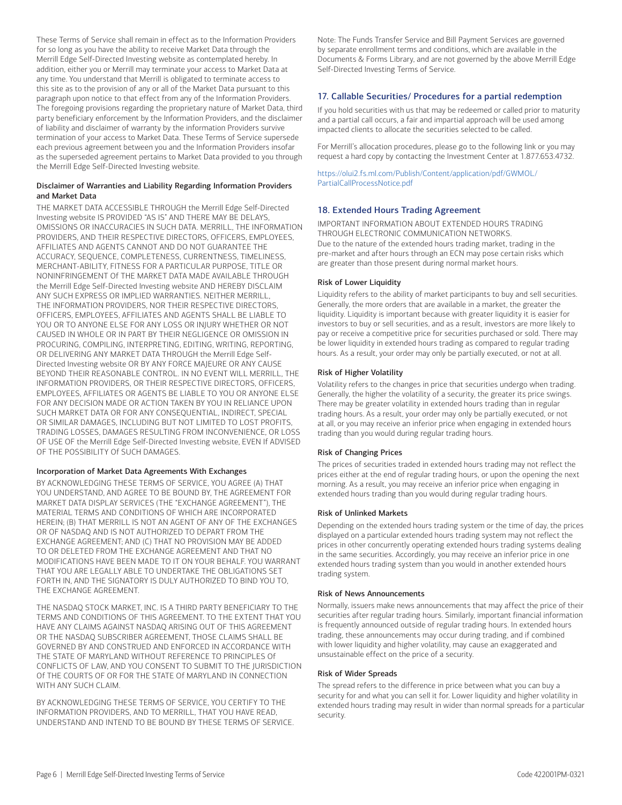These Terms of Service shall remain in effect as to the Information Providers for so long as you have the ability to receive Market Data through the Merrill Edge Self-Directed Investing website as contemplated hereby. In addition, either you or Merrill may terminate your access to Market Data at any time. You understand that Merrill is obligated to terminate access to this site as to the provision of any or all of the Market Data pursuant to this paragraph upon notice to that effect from any of the Information Providers. The foregoing provisions regarding the proprietary nature of Market Data, third party beneficiary enforcement by the Information Providers, and the disclaimer of liability and disclaimer of warranty by the information Providers survive termination of your access to Market Data. These Terms of Service supersede each previous agreement between you and the Information Providers insofar as the superseded agreement pertains to Market Data provided to you through the Merrill Edge Self-Directed Investing website.

### Disclaimer of Warranties and Liability Regarding Information Providers and Market Data

THE MARKET DATA ACCESSIBLE THROUGH the Merrill Edge Self-Directed Investing website IS PROVIDED "AS IS" AND THERE MAY BE DELAYS, OMISSIONS OR INACCURACIES IN SUCH DATA. MERRILL, THE INFORMATION PROVIDERS, AND THEIR RESPECTIVE DIRECTORS, OFFICERS, EMPLOYEES, AFFILIATES AND AGENTS CANNOT AND DO NOT GUARANTEE THE ACCURACY, SEQUENCE, COMPLETENESS, CURRENTNESS, TIMELINESS, MERCHANT-ABILITY, FITNESS FOR A PARTICULAR PURPOSE, TITLE OR NONINFRINGEMENT Of THE MARKET DATA MADE AVAILABLE THROUGH the Merrill Edge Self-Directed Investing website AND HEREBY DISCLAIM ANY SUCH EXPRESS OR IMPLIED WARRANTIES. NEITHER MERRILL, THE INFORMATION PROVIDERS, NOR THEIR RESPECTIVE DIRECTORS, OFFICERS, EMPLOYEES, AFFILIATES AND AGENTS SHALL BE LIABLE TO YOU OR TO ANYONE ELSE FOR ANY LOSS OR INJURY WHETHER OR NOT CAUSED IN WHOLE OR IN PART BY THEIR NEGLIGENCE OR OMISSION IN PROCURING, COMPILING, INTERPRETING, EDITING, WRITING, REPORTING, OR DELIVERING ANY MARKET DATA THROUGH the Merrill Edge Self-Directed Investing website OR BY ANY FORCE MAJEURE OR ANY CAUSE BEYOND THEIR REASONABLE CONTROL. IN NO EVENT WILL MERRILL, THE INFORMATION PROVIDERS, OR THEIR RESPECTIVE DIRECTORS, OFFICERS, EMPLOYEES, AFFILIATES OR AGENTS BE LIABLE TO YOU OR ANYONE ELSE FOR ANY DECISION MADE OR ACTION TAKEN BY YOU IN RELIANCE UPON SUCH MARKET DATA OR FOR ANY CONSEQUENTIAL, INDIRECT, SPECIAL OR SIMILAR DAMAGES, INCLUDING BUT NOT LIMITED TO LOST PROFITS, TRADING LOSSES, DAMAGES RESULTING FROM INCONVENIENCE, OR LOSS OF USE OF the Merrill Edge Self-Directed Investing website, EVEN If ADVISED OF THE POSSIBILITY Of SUCH DAMAGES.

## Incorporation of Market Data Agreements With Exchanges

BY ACKNOWLEDGING THESE TERMS OF SERVICE, YOU AGREE (A) THAT YOU UNDERSTAND, AND AGREE TO BE BOUND BY, THE AGREEMENT FOR MARKET DATA DISPLAY SERVICES (THE "EXCHANGE AGREEMENT"), THE MATERIAL TERMS AND CONDITIONS OF WHICH ARE INCORPORATED HEREIN; (B) THAT MERRILL IS NOT AN AGENT OF ANY OF THE EXCHANGES OR OF NASDAQ AND IS NOT AUTHORIZED TO DEPART FROM THE EXCHANGE AGREEMENT; AND (C) THAT NO PROVISION MAY BE ADDED TO OR DELETED FROM THE EXCHANGE AGREEMENT AND THAT NO MODIFICATIONS HAVE BEEN MADE TO IT ON YOUR BEHALF. YOU WARRANT THAT YOU ARE LEGALLY ABLE TO UNDERTAKE THE OBLIGATIONS SET FORTH IN, AND THE SIGNATORY IS DULY AUTHORIZED TO BIND YOU TO, THE EXCHANGE AGREEMENT.

THE NASDAQ STOCK MARKET, INC. IS A THIRD PARTY BENEFICIARY TO THE TERMS AND CONDITIONS OF THIS AGREEMENT. TO THE EXTENT THAT YOU HAVE ANY CLAIMS AGAINST NASDAQ ARISING OUT OF THIS AGREEMENT OR THE NASDAQ SUBSCRIBER AGREEMENT, THOSE CLAIMS SHALL BE GOVERNED BY AND CONSTRUED AND ENFORCED IN ACCORDANCE WITH THE STATE OF MARYLAND WITHOUT REFERENCE TO PRINCIPLES Of CONFLICTS OF LAW, AND YOU CONSENT TO SUBMIT TO THE JURISDICTION Of THE COURTS OF OR FOR THE STATE Of MARYLAND IN CONNECTION WITH ANY SUCH CLAIM.

BY ACKNOWLEDGING THESE TERMS OF SERVICE, YOU CERTIFY TO THE INFORMATION PROVIDERS, AND TO MERRILL, THAT YOU HAVE READ, UNDERSTAND AND INTEND TO BE BOUND BY THESE TERMS OF SERVICE. Note: The Funds Transfer Service and Bill Payment Services are governed by separate enrollment terms and conditions, which are available in the Documents & Forms Library, and are not governed by the above Merrill Edge Self-Directed Investing Terms of Service.

# 17. Callable Securities/ Procedures for a partial redemption

If you hold securities with us that may be redeemed or called prior to maturity and a partial call occurs, a fair and impartial approach will be used among impacted clients to allocate the securities selected to be called.

For Merrill's allocation procedures, please go to the following link or you may request a hard copy by contacting the Investment Center at 1.877.653.4732.

[https://olui2.fs.ml.com/Publish/Content/application/pdf/GWMOL/](https://olui2.fs.ml.com/Publish/Content/application/pdf/GWMOL/PartialCallProcessNotice.pdf) [PartialCallProcessNotice.pdf](https://olui2.fs.ml.com/Publish/Content/application/pdf/GWMOL/PartialCallProcessNotice.pdf) 

# 18. Extended Hours Trading Agreement

IMPORTANT INFORMATION ABOUT EXTENDED HOURS TRADING THROUGH ELECTRONIC COMMUNICATION NETWORKS. Due to the nature of the extended hours trading market, trading in the pre-market and after hours through an ECN may pose certain risks which are greater than those present during normal market hours.

## Risk of Lower Liquidity

Liquidity refers to the ability of market participants to buy and sell securities. Generally, the more orders that are available in a market, the greater the liquidity. Liquidity is important because with greater liquidity it is easier for investors to buy or sell securities, and as a result, investors are more likely to pay or receive a competitive price for securities purchased or sold. There may be lower liquidity in extended hours trading as compared to regular trading hours. As a result, your order may only be partially executed, or not at all.

## Risk of Higher Volatility

Volatility refers to the changes in price that securities undergo when trading. Generally, the higher the volatility of a security, the greater its price swings. There may be greater volatility in extended hours trading than in regular trading hours. As a result, your order may only be partially executed, or not at all, or you may receive an inferior price when engaging in extended hours trading than you would during regular trading hours.

#### Risk of Changing Prices

The prices of securities traded in extended hours trading may not reflect the prices either at the end of regular trading hours, or upon the opening the next morning. As a result, you may receive an inferior price when engaging in extended hours trading than you would during regular trading hours.

### Risk of Unlinked Markets

Depending on the extended hours trading system or the time of day, the prices displayed on a particular extended hours trading system may not reflect the prices in other concurrently operating extended hours trading systems dealing in the same securities. Accordingly, you may receive an inferior price in one extended hours trading system than you would in another extended hours trading system.

#### Risk of News Announcements

Normally, issuers make news announcements that may affect the price of their securities after regular trading hours. Similarly, important financial information is frequently announced outside of regular trading hours. In extended hours trading, these announcements may occur during trading, and if combined with lower liquidity and higher volatility, may cause an exaggerated and unsustainable effect on the price of a security.

#### Risk of Wider Spreads

The spread refers to the difference in price between what you can buy a security for and what you can sell it for. Lower liquidity and higher volatility in extended hours trading may result in wider than normal spreads for a particular security.